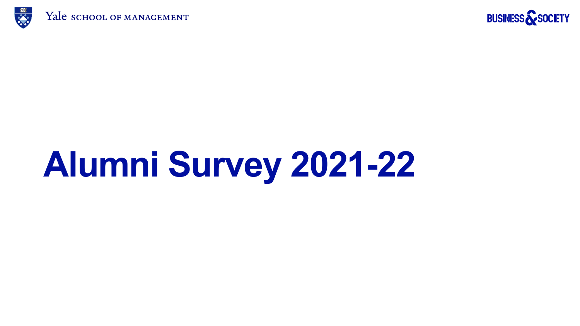



## **Alumni Survey 2021-22**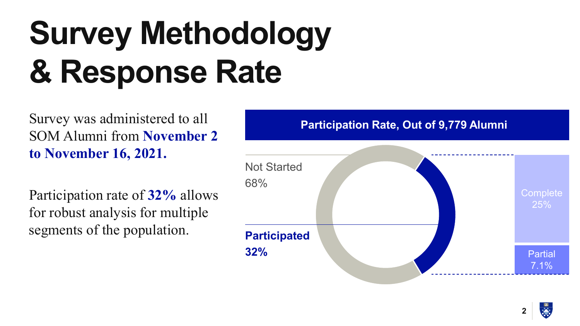### **Survey Methodology & Response Rate**

### Survey was administered to all SOM Alumni from **November 2 to November 16, 2021.**

Participation rate of **32%** allows for robust analysis for multiple segments of the population.

### **Participation Rate, Out of 9,779 Alumni**

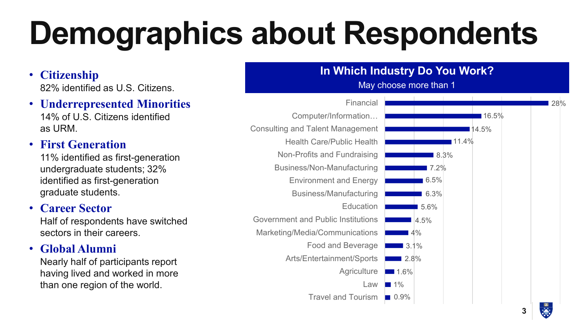### **Demographics about Respondents**

### • **Citizenship**

82% identified as U.S. Citizens.

• **Underrepresented Minorities** 14% of U.S. Citizens identified as URM.

### • **First Generation**

11% identified as first-generation undergraduate students; 32% identified as first-generation graduate students.

#### • **Career Sector**

Half of respondents have switched sectors in their careers.

#### • **Global Alumni**

Nearly half of participants report having lived and worked in more than one region of the world.

### **In Which Industry Do You Work?**

May choose more than 1

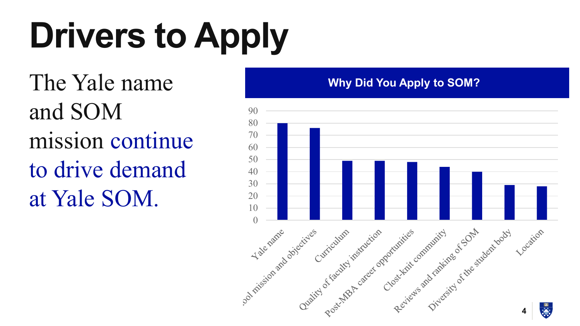## **Drivers to Apply**

The Yale name and SOM mission continue to drive demand at Yale SOM.

### **Why Did You Apply to SOM?**

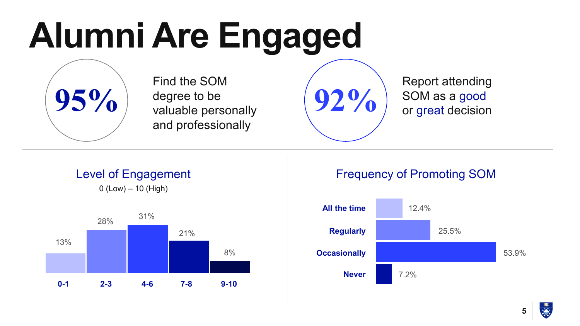## **Alumni Are Engaged**

**95%** Find the SOM degree to be valuable personally and professionally

**92%**

Report attending SOM as a good or great decision

### Level of Engagement

0 (Low) – 10 (High)



### Frequency of Promoting SOM

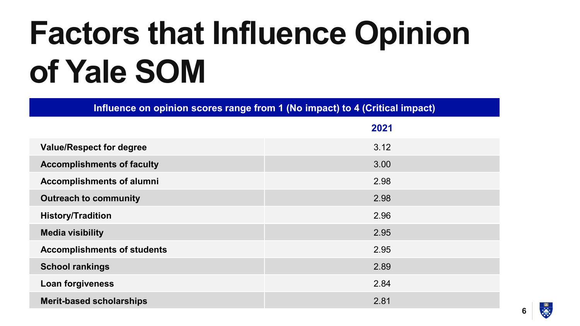### **Factors that Influence Opinion of Yale SOM**

**Influence on opinion scores range from 1 (No impact) to 4 (Critical impact)**

|                                    | 2021 |
|------------------------------------|------|
| <b>Value/Respect for degree</b>    | 3.12 |
| <b>Accomplishments of faculty</b>  | 3.00 |
| <b>Accomplishments of alumni</b>   | 2.98 |
| <b>Outreach to community</b>       | 2.98 |
| <b>History/Tradition</b>           | 2.96 |
| <b>Media visibility</b>            | 2.95 |
| <b>Accomplishments of students</b> | 2.95 |
| <b>School rankings</b>             | 2.89 |
| <b>Loan forgiveness</b>            | 2.84 |
| <b>Merit-based scholarships</b>    | 2.81 |

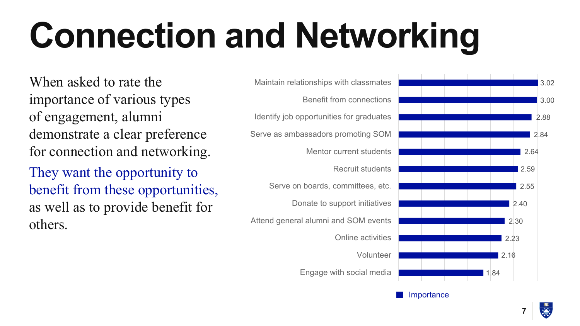## **Connection and Networking**

When asked to rate the importance of various types of engagement, alumni demonstrate a clear preference for connection and networking.

They want the opportunity to benefit from these opportunities, as well as to provide benefit for others.

Engage with social media Volunteer Online activities Attend general alumni and SOM events Donate to support initiatives Serve on boards, committees, etc. Recruit students Mentor current students Serve as ambassadors promoting SOM Identify job opportunities for graduates Benefit from connections Maintain relationships with classmates 2.30 2.23 2.16 1.84

**Importance** 

3.02

3.00

2.88

2.84

2.64

2.59

2.55

2.40

**7**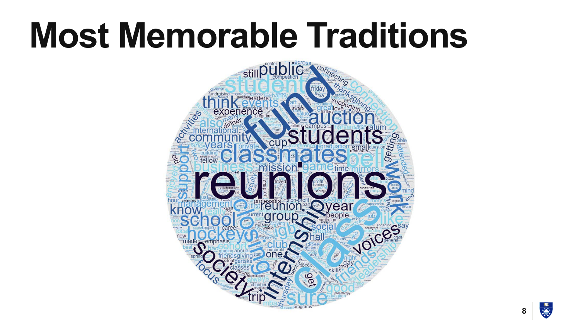### **Most Memorable Traditions**